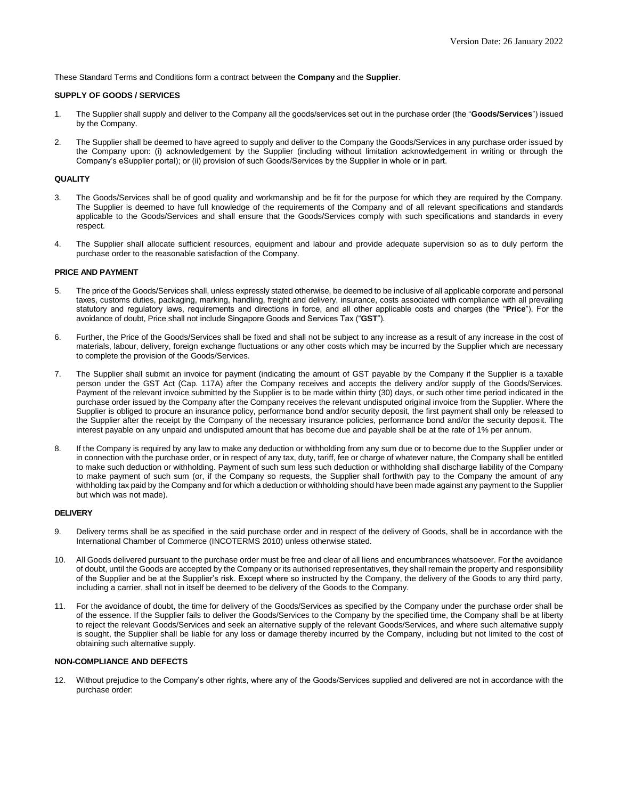These Standard Terms and Conditions form a contract between the **Company** and the **Supplier**.

### **SUPPLY OF GOODS / SERVICES**

- 1. The Supplier shall supply and deliver to the Company all the goods/services set out in the purchase order (the "**Goods/Services**") issued by the Company.
- 2. The Supplier shall be deemed to have agreed to supply and deliver to the Company the Goods/Services in any purchase order issued by the Company upon: (i) acknowledgement by the Supplier (including without limitation acknowledgement in writing or through the Company's eSupplier portal); or (ii) provision of such Goods/Services by the Supplier in whole or in part.

### **QUALITY**

- 3. The Goods/Services shall be of good quality and workmanship and be fit for the purpose for which they are required by the Company. The Supplier is deemed to have full knowledge of the requirements of the Company and of all relevant specifications and standards applicable to the Goods/Services and shall ensure that the Goods/Services comply with such specifications and standards in every respect.
- 4. The Supplier shall allocate sufficient resources, equipment and labour and provide adequate supervision so as to duly perform the purchase order to the reasonable satisfaction of the Company.

#### **PRICE AND PAYMENT**

- 5. The price of the Goods/Services shall, unless expressly stated otherwise, be deemed to be inclusive of all applicable corporate and personal taxes, customs duties, packaging, marking, handling, freight and delivery, insurance, costs associated with compliance with all prevailing statutory and regulatory laws, requirements and directions in force, and all other applicable costs and charges (the "**Price**"). For the avoidance of doubt, Price shall not include Singapore Goods and Services Tax ("**GST**").
- 6. Further, the Price of the Goods/Services shall be fixed and shall not be subject to any increase as a result of any increase in the cost of materials, labour, delivery, foreign exchange fluctuations or any other costs which may be incurred by the Supplier which are necessary to complete the provision of the Goods/Services.
- 7. The Supplier shall submit an invoice for payment (indicating the amount of GST payable by the Company if the Supplier is a taxable person under the GST Act (Cap. 117A) after the Company receives and accepts the delivery and/or supply of the Goods/Services. Payment of the relevant invoice submitted by the Supplier is to be made within thirty (30) days, or such other time period indicated in the purchase order issued by the Company after the Company receives the relevant undisputed original invoice from the Supplier. Where the Supplier is obliged to procure an insurance policy, performance bond and/or security deposit, the first payment shall only be released to the Supplier after the receipt by the Company of the necessary insurance policies, performance bond and/or the security deposit. The interest payable on any unpaid and undisputed amount that has become due and payable shall be at the rate of 1% per annum.
- 8. If the Company is required by any law to make any deduction or withholding from any sum due or to become due to the Supplier under or in connection with the purchase order, or in respect of any tax, duty, tariff, fee or charge of whatever nature, the Company shall be entitled to make such deduction or withholding. Payment of such sum less such deduction or withholding shall discharge liability of the Company to make payment of such sum (or, if the Company so requests, the Supplier shall forthwith pay to the Company the amount of any withholding tax paid by the Company and for which a deduction or withholding should have been made against any payment to the Supplier but which was not made).

#### **DELIVERY**

- 9. Delivery terms shall be as specified in the said purchase order and in respect of the delivery of Goods, shall be in accordance with the International Chamber of Commerce (INCOTERMS 2010) unless otherwise stated.
- 10. All Goods delivered pursuant to the purchase order must be free and clear of all liens and encumbrances whatsoever. For the avoidance of doubt, until the Goods are accepted by the Company or its authorised representatives, they shall remain the property and responsibility of the Supplier and be at the Supplier's risk. Except where so instructed by the Company, the delivery of the Goods to any third party, including a carrier, shall not in itself be deemed to be delivery of the Goods to the Company.
- 11. For the avoidance of doubt, the time for delivery of the Goods/Services as specified by the Company under the purchase order shall be of the essence. If the Supplier fails to deliver the Goods/Services to the Company by the specified time, the Company shall be at liberty to reject the relevant Goods/Services and seek an alternative supply of the relevant Goods/Services, and where such alternative supply is sought, the Supplier shall be liable for any loss or damage thereby incurred by the Company, including but not limited to the cost of obtaining such alternative supply.

# **NON-COMPLIANCE AND DEFECTS**

12. Without prejudice to the Company's other rights, where any of the Goods/Services supplied and delivered are not in accordance with the purchase order: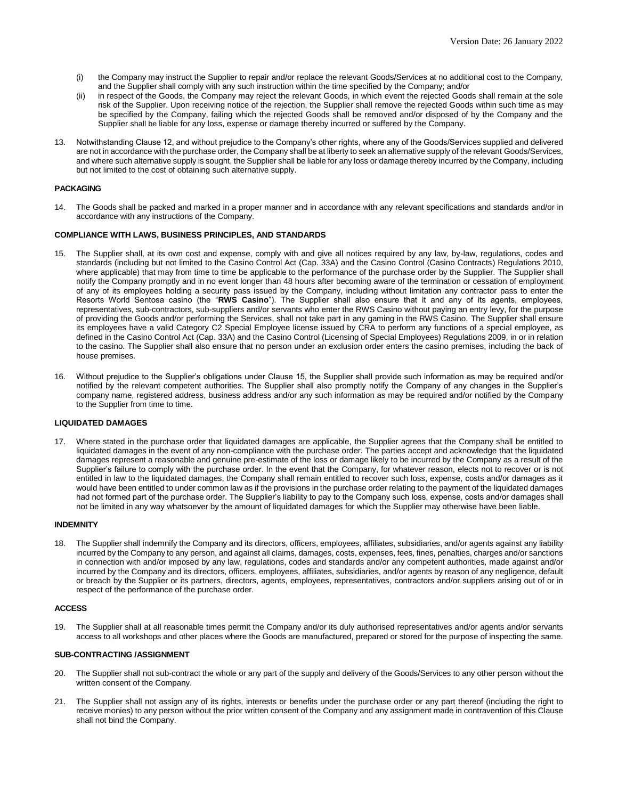- (i) the Company may instruct the Supplier to repair and/or replace the relevant Goods/Services at no additional cost to the Company, and the Supplier shall comply with any such instruction within the time specified by the Company; and/or
- (ii) in respect of the Goods, the Company may reject the relevant Goods, in which event the rejected Goods shall remain at the sole risk of the Supplier. Upon receiving notice of the rejection, the Supplier shall remove the rejected Goods within such time as may be specified by the Company, failing which the rejected Goods shall be removed and/or disposed of by the Company and the Supplier shall be liable for any loss, expense or damage thereby incurred or suffered by the Company.
- 13. Notwithstanding Clause 12, and without prejudice to the Company's other rights, where any of the Goods/Services supplied and delivered are not in accordance with the purchase order, the Company shall be at liberty to seek an alternative supply of the relevant Goods/Services, and where such alternative supply is sought, the Supplier shall be liable for any loss or damage thereby incurred by the Company, including but not limited to the cost of obtaining such alternative supply.

## **PACKAGING**

14. The Goods shall be packed and marked in a proper manner and in accordance with any relevant specifications and standards and/or in accordance with any instructions of the Company.

### **COMPLIANCE WITH LAWS, BUSINESS PRINCIPLES, AND STANDARDS**

- 15. The Supplier shall, at its own cost and expense, comply with and give all notices required by any law, by-law, regulations, codes and standards (including but not limited to the Casino Control Act (Cap. 33A) and the Casino Control (Casino Contracts) Regulations 2010, where applicable) that may from time to time be applicable to the performance of the purchase order by the Supplier. The Supplier shall notify the Company promptly and in no event longer than 48 hours after becoming aware of the termination or cessation of employment of any of its employees holding a security pass issued by the Company, including without limitation any contractor pass to enter the Resorts World Sentosa casino (the "**RWS Casino**"). The Supplier shall also ensure that it and any of its agents, employees, representatives, sub-contractors, sub-suppliers and/or servants who enter the RWS Casino without paying an entry levy, for the purpose of providing the Goods and/or performing the Services, shall not take part in any gaming in the RWS Casino. The Supplier shall ensure its employees have a valid Category C2 Special Employee license issued by CRA to perform any functions of a special employee, as defined in the Casino Control Act (Cap. 33A) and the Casino Control (Licensing of Special Employees) Regulations 2009, in or in relation to the casino. The Supplier shall also ensure that no person under an exclusion order enters the casino premises, including the back of house premises.
- 16. Without prejudice to the Supplier's obligations under Clause 15, the Supplier shall provide such information as may be required and/or notified by the relevant competent authorities. The Supplier shall also promptly notify the Company of any changes in the Supplier's company name, registered address, business address and/or any such information as may be required and/or notified by the Company to the Supplier from time to time.

#### **LIQUIDATED DAMAGES**

17. Where stated in the purchase order that liquidated damages are applicable, the Supplier agrees that the Company shall be entitled to liquidated damages in the event of any non-compliance with the purchase order. The parties accept and acknowledge that the liquidated damages represent a reasonable and genuine pre-estimate of the loss or damage likely to be incurred by the Company as a result of the Supplier's failure to comply with the purchase order. In the event that the Company, for whatever reason, elects not to recover or is not entitled in law to the liquidated damages, the Company shall remain entitled to recover such loss, expense, costs and/or damages as it would have been entitled to under common law as if the provisions in the purchase order relating to the payment of the liquidated damages had not formed part of the purchase order. The Supplier's liability to pay to the Company such loss, expense, costs and/or damages shall not be limited in any way whatsoever by the amount of liquidated damages for which the Supplier may otherwise have been liable.

#### **INDEMNITY**

18. The Supplier shall indemnify the Company and its directors, officers, employees, affiliates, subsidiaries, and/or agents against any liability incurred by the Company to any person, and against all claims, damages, costs, expenses, fees, fines, penalties, charges and/or sanctions in connection with and/or imposed by any law, regulations, codes and standards and/or any competent authorities, made against and/or incurred by the Company and its directors, officers, employees, affiliates, subsidiaries, and/or agents by reason of any negligence, default or breach by the Supplier or its partners, directors, agents, employees, representatives, contractors and/or suppliers arising out of or in respect of the performance of the purchase order.

#### **ACCESS**

19. The Supplier shall at all reasonable times permit the Company and/or its duly authorised representatives and/or agents and/or servants access to all workshops and other places where the Goods are manufactured, prepared or stored for the purpose of inspecting the same.

#### **SUB-CONTRACTING /ASSIGNMENT**

- 20. The Supplier shall not sub-contract the whole or any part of the supply and delivery of the Goods/Services to any other person without the written consent of the Company.
- 21. The Supplier shall not assign any of its rights, interests or benefits under the purchase order or any part thereof (including the right to receive monies) to any person without the prior written consent of the Company and any assignment made in contravention of this Clause shall not bind the Company.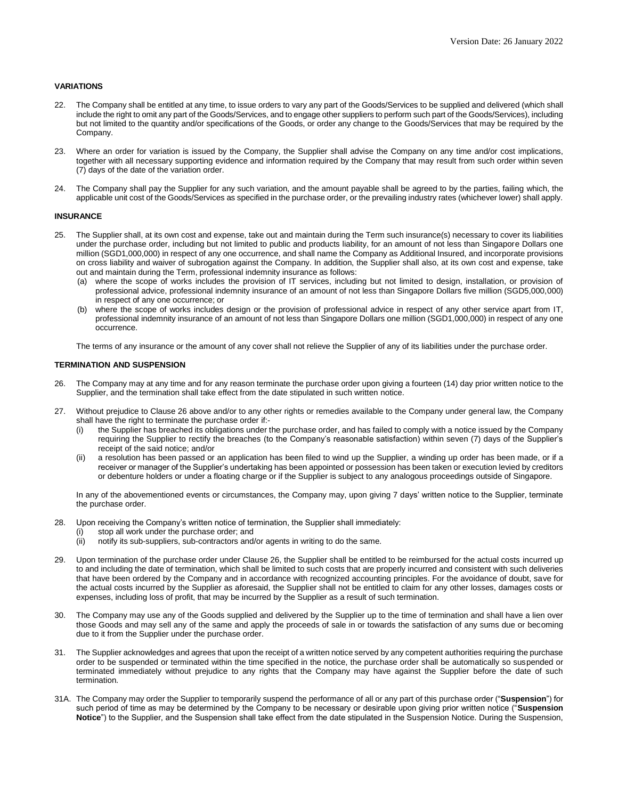# **VARIATIONS**

- 22. The Company shall be entitled at any time, to issue orders to vary any part of the Goods/Services to be supplied and delivered (which shall include the right to omit any part of the Goods/Services, and to engage other suppliers to perform such part of the Goods/Services), including but not limited to the quantity and/or specifications of the Goods, or order any change to the Goods/Services that may be required by the Company.
- 23. Where an order for variation is issued by the Company, the Supplier shall advise the Company on any time and/or cost implications, together with all necessary supporting evidence and information required by the Company that may result from such order within seven (7) days of the date of the variation order.
- 24. The Company shall pay the Supplier for any such variation, and the amount payable shall be agreed to by the parties, failing which, the applicable unit cost of the Goods/Services as specified in the purchase order, or the prevailing industry rates (whichever lower) shall apply.

#### **INSURANCE**

- 25. The Supplier shall, at its own cost and expense, take out and maintain during the Term such insurance(s) necessary to cover its liabilities under the purchase order, including but not limited to public and products liability, for an amount of not less than Singapore Dollars one million (SGD1,000,000) in respect of any one occurrence, and shall name the Company as Additional Insured, and incorporate provisions on cross liability and waiver of subrogation against the Company. In addition, the Supplier shall also, at its own cost and expense, take out and maintain during the Term, professional indemnity insurance as follows:
	- (a) where the scope of works includes the provision of IT services, including but not limited to design, installation, or provision of professional advice, professional indemnity insurance of an amount of not less than Singapore Dollars five million (SGD5,000,000) in respect of any one occurrence; or
	- (b) where the scope of works includes design or the provision of professional advice in respect of any other service apart from IT, professional indemnity insurance of an amount of not less than Singapore Dollars one million (SGD1,000,000) in respect of any one occurrence.

The terms of any insurance or the amount of any cover shall not relieve the Supplier of any of its liabilities under the purchase order.

### **TERMINATION AND SUSPENSION**

- 26. The Company may at any time and for any reason terminate the purchase order upon giving a fourteen (14) day prior written notice to the Supplier, and the termination shall take effect from the date stipulated in such written notice.
- 27. Without prejudice to Clause 26 above and/or to any other rights or remedies available to the Company under general law, the Company shall have the right to terminate the purchase order if:-
	- (i) the Supplier has breached its obligations under the purchase order, and has failed to comply with a notice issued by the Company requiring the Supplier to rectify the breaches (to the Company's reasonable satisfaction) within seven (7) days of the Supplier's receipt of the said notice; and/or
	- (ii) a resolution has been passed or an application has been filed to wind up the Supplier, a winding up order has been made, or if a receiver or manager of the Supplier's undertaking has been appointed or possession has been taken or execution levied by creditors or debenture holders or under a floating charge or if the Supplier is subject to any analogous proceedings outside of Singapore.

In any of the abovementioned events or circumstances, the Company may, upon giving 7 days' written notice to the Supplier, terminate the purchase order.

- 28. Upon receiving the Company's written notice of termination, the Supplier shall immediately:
	- (i) stop all work under the purchase order; and
	- (ii) notify its sub-suppliers, sub-contractors and/or agents in writing to do the same.
- 29. Upon termination of the purchase order under Clause 26, the Supplier shall be entitled to be reimbursed for the actual costs incurred up to and including the date of termination, which shall be limited to such costs that are properly incurred and consistent with such deliveries that have been ordered by the Company and in accordance with recognized accounting principles. For the avoidance of doubt, save for the actual costs incurred by the Supplier as aforesaid, the Supplier shall not be entitled to claim for any other losses, damages costs or expenses, including loss of profit, that may be incurred by the Supplier as a result of such termination.
- 30. The Company may use any of the Goods supplied and delivered by the Supplier up to the time of termination and shall have a lien over those Goods and may sell any of the same and apply the proceeds of sale in or towards the satisfaction of any sums due or becoming due to it from the Supplier under the purchase order.
- 31. The Supplier acknowledges and agrees that upon the receipt of a written notice served by any competent authorities requiring the purchase order to be suspended or terminated within the time specified in the notice, the purchase order shall be automatically so suspended or terminated immediately without prejudice to any rights that the Company may have against the Supplier before the date of such termination.
- 31A. The Company may order the Supplier to temporarily suspend the performance of all or any part of this purchase order ("**Suspension**") for such period of time as may be determined by the Company to be necessary or desirable upon giving prior written notice ("**Suspension Notice**") to the Supplier, and the Suspension shall take effect from the date stipulated in the Suspension Notice. During the Suspension,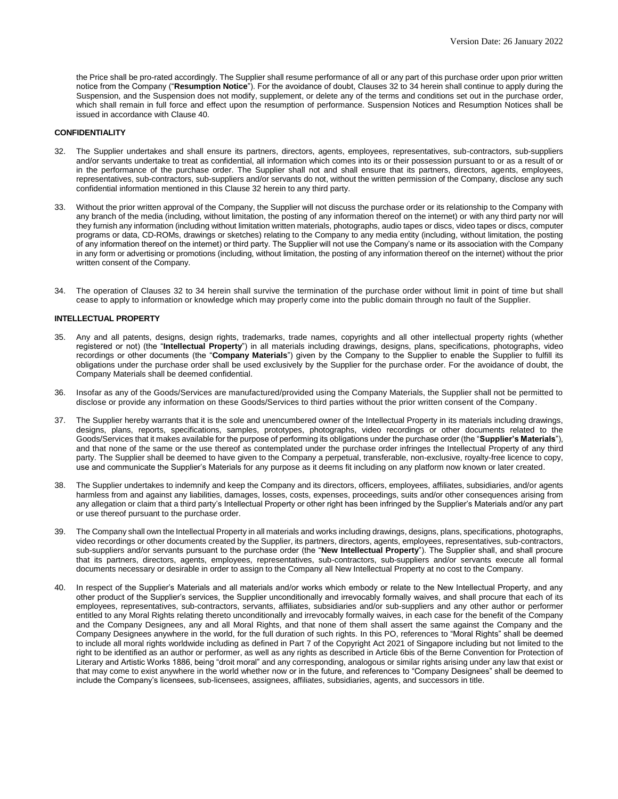the Price shall be pro-rated accordingly. The Supplier shall resume performance of all or any part of this purchase order upon prior written notice from the Company ("**Resumption Notice**"). For the avoidance of doubt, Clauses 32 to 34 herein shall continue to apply during the Suspension, and the Suspension does not modify, supplement, or delete any of the terms and conditions set out in the purchase order, which shall remain in full force and effect upon the resumption of performance. Suspension Notices and Resumption Notices shall be issued in accordance with Clause 40.

## **CONFIDENTIALITY**

- 32. The Supplier undertakes and shall ensure its partners, directors, agents, employees, representatives, sub-contractors, sub-suppliers and/or servants undertake to treat as confidential, all information which comes into its or their possession pursuant to or as a result of or in the performance of the purchase order. The Supplier shall not and shall ensure that its partners, directors, agents, employees, representatives, sub-contractors, sub-suppliers and/or servants do not, without the written permission of the Company, disclose any such confidential information mentioned in this Clause 32 herein to any third party.
- 33. Without the prior written approval of the Company, the Supplier will not discuss the purchase order or its relationship to the Company with any branch of the media (including, without limitation, the posting of any information thereof on the internet) or with any third party nor will they furnish any information (including without limitation written materials, photographs, audio tapes or discs, video tapes or discs, computer programs or data, CD-ROMs, drawings or sketches) relating to the Company to any media entity (including, without limitation, the posting of any information thereof on the internet) or third party. The Supplier will not use the Company's name or its association with the Company in any form or advertising or promotions (including, without limitation, the posting of any information thereof on the internet) without the prior written consent of the Company.
- 34. The operation of Clauses 32 to 34 herein shall survive the termination of the purchase order without limit in point of time but shall cease to apply to information or knowledge which may properly come into the public domain through no fault of the Supplier.

#### **INTELLECTUAL PROPERTY**

- 35. Any and all patents, designs, design rights, trademarks, trade names, copyrights and all other intellectual property rights (whether registered or not) (the "**Intellectual Property**") in all materials including drawings, designs, plans, specifications, photographs, video recordings or other documents (the "**Company Materials**") given by the Company to the Supplier to enable the Supplier to fulfill its obligations under the purchase order shall be used exclusively by the Supplier for the purchase order. For the avoidance of doubt, the Company Materials shall be deemed confidential.
- 36. Insofar as any of the Goods/Services are manufactured/provided using the Company Materials, the Supplier shall not be permitted to disclose or provide any information on these Goods/Services to third parties without the prior written consent of the Company.
- 37. The Supplier hereby warrants that it is the sole and unencumbered owner of the Intellectual Property in its materials including drawings, designs, plans, reports, specifications, samples, prototypes, photographs, video recordings or other documents related to the Goods/Services that it makes available for the purpose of performing its obligations under the purchase order (the "**Supplier's Materials**"), and that none of the same or the use thereof as contemplated under the purchase order infringes the Intellectual Property of any third party. The Supplier shall be deemed to have given to the Company a perpetual, transferable, non-exclusive, royalty-free licence to copy, use and communicate the Supplier's Materials for any purpose as it deems fit including on any platform now known or later created.
- 38. The Supplier undertakes to indemnify and keep the Company and its directors, officers, employees, affiliates, subsidiaries, and/or agents harmless from and against any liabilities, damages, losses, costs, expenses, proceedings, suits and/or other consequences arising from any allegation or claim that a third party's Intellectual Property or other right has been infringed by the Supplier's Materials and/or any part or use thereof pursuant to the purchase order.
- 39. The Company shall own the Intellectual Property in all materials and works including drawings, designs, plans, specifications, photographs, video recordings or other documents created by the Supplier, its partners, directors, agents, employees, representatives, sub-contractors, sub-suppliers and/or servants pursuant to the purchase order (the "**New Intellectual Property**"). The Supplier shall, and shall procure that its partners, directors, agents, employees, representatives, sub-contractors, sub-suppliers and/or servants execute all formal documents necessary or desirable in order to assign to the Company all New Intellectual Property at no cost to the Company.
- 40. In respect of the Supplier's Materials and all materials and/or works which embody or relate to the New Intellectual Property, and any other product of the Supplier's services, the Supplier unconditionally and irrevocably formally waives, and shall procure that each of its employees, representatives, sub-contractors, servants, affiliates, subsidiaries and/or sub-suppliers and any other author or performer entitled to any Moral Rights relating thereto unconditionally and irrevocably formally waives, in each case for the benefit of the Company and the Company Designees, any and all Moral Rights, and that none of them shall assert the same against the Company and the Company Designees anywhere in the world, for the full duration of such rights. In this PO, references to "Moral Rights" shall be deemed to include all moral rights worldwide including as defined in Part 7 of the Copyright Act 2021 of Singapore including but not limited to the right to be identified as an author or performer, as well as any rights as described in Article 6bis of the Berne Convention for Protection of Literary and Artistic Works 1886, being "droit moral" and any corresponding, analogous or similar rights arising under any law that exist or that may come to exist anywhere in the world whether now or in the future, and references to "Company Designees" shall be deemed to include the Company's licensees, sub-licensees, assignees, affiliates, subsidiaries, agents, and successors in title.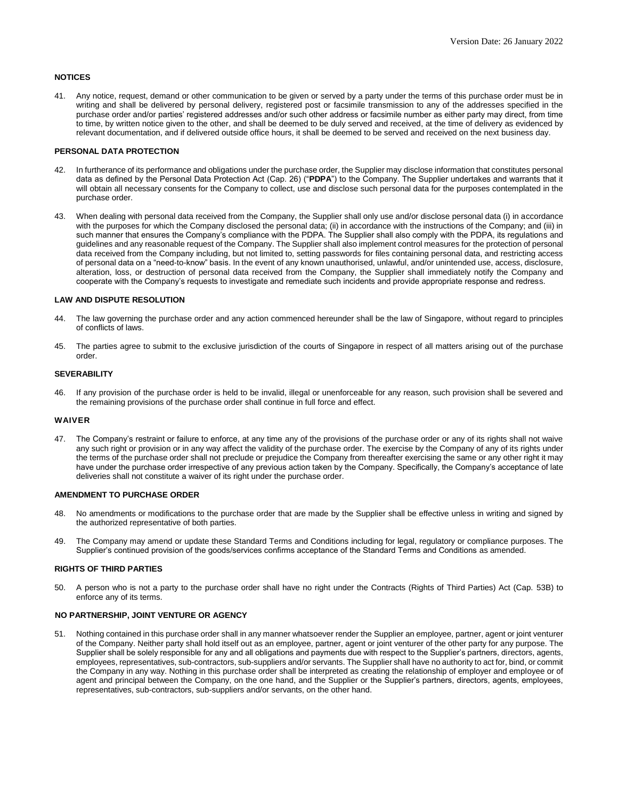# **NOTICES**

41. Any notice, request, demand or other communication to be given or served by a party under the terms of this purchase order must be in writing and shall be delivered by personal delivery, registered post or facsimile transmission to any of the addresses specified in the purchase order and/or parties' registered addresses and/or such other address or facsimile number as either party may direct, from time to time, by written notice given to the other, and shall be deemed to be duly served and received, at the time of delivery as evidenced by relevant documentation, and if delivered outside office hours, it shall be deemed to be served and received on the next business day.

# **PERSONAL DATA PROTECTION**

- 42. In furtherance of its performance and obligations under the purchase order, the Supplier may disclose information that constitutes personal data as defined by the Personal Data Protection Act (Cap. 26) ("**PDPA**") to the Company. The Supplier undertakes and warrants that it will obtain all necessary consents for the Company to collect, use and disclose such personal data for the purposes contemplated in the purchase order.
- 43. When dealing with personal data received from the Company, the Supplier shall only use and/or disclose personal data (i) in accordance with the purposes for which the Company disclosed the personal data; (ii) in accordance with the instructions of the Company; and (iii) in such manner that ensures the Company's compliance with the PDPA. The Supplier shall also comply with the PDPA, its regulations and guidelines and any reasonable request of the Company. The Supplier shall also implement control measures for the protection of personal data received from the Company including, but not limited to, setting passwords for files containing personal data, and restricting access of personal data on a "need-to-know" basis. In the event of any known unauthorised, unlawful, and/or unintended use, access, disclosure, alteration, loss, or destruction of personal data received from the Company, the Supplier shall immediately notify the Company and cooperate with the Company's requests to investigate and remediate such incidents and provide appropriate response and redress.

## **LAW AND DISPUTE RESOLUTION**

- 44. The law governing the purchase order and any action commenced hereunder shall be the law of Singapore, without regard to principles of conflicts of laws.
- 45. The parties agree to submit to the exclusive jurisdiction of the courts of Singapore in respect of all matters arising out of the purchase order.

## **SEVERABILITY**

46. If any provision of the purchase order is held to be invalid, illegal or unenforceable for any reason, such provision shall be severed and the remaining provisions of the purchase order shall continue in full force and effect.

#### **WAIVER**

47. The Company's restraint or failure to enforce, at any time any of the provisions of the purchase order or any of its rights shall not waive any such right or provision or in any way affect the validity of the purchase order. The exercise by the Company of any of its rights under the terms of the purchase order shall not preclude or prejudice the Company from thereafter exercising the same or any other right it may have under the purchase order irrespective of any previous action taken by the Company. Specifically, the Company's acceptance of late deliveries shall not constitute a waiver of its right under the purchase order.

# **AMENDMENT TO PURCHASE ORDER**

- 48. No amendments or modifications to the purchase order that are made by the Supplier shall be effective unless in writing and signed by the authorized representative of both parties.
- 49. The Company may amend or update these Standard Terms and Conditions including for legal, regulatory or compliance purposes. The Supplier's continued provision of the goods/services confirms acceptance of the Standard Terms and Conditions as amended.

# **RIGHTS OF THIRD PARTIES**

50. A person who is not a party to the purchase order shall have no right under the Contracts (Rights of Third Parties) Act (Cap. 53B) to enforce any of its terms.

# **NO PARTNERSHIP, JOINT VENTURE OR AGENCY**

51. Nothing contained in this purchase order shall in any manner whatsoever render the Supplier an employee, partner, agent or joint venturer of the Company. Neither party shall hold itself out as an employee, partner, agent or joint venturer of the other party for any purpose. The Supplier shall be solely responsible for any and all obligations and payments due with respect to the Supplier's partners, directors, agents, employees, representatives, sub-contractors, sub-suppliers and/or servants. The Supplier shall have no authority to act for, bind, or commit the Company in any way. Nothing in this purchase order shall be interpreted as creating the relationship of employer and employee or of agent and principal between the Company, on the one hand, and the Supplier or the Supplier's partners, directors, agents, employees, representatives, sub-contractors, sub-suppliers and/or servants, on the other hand.